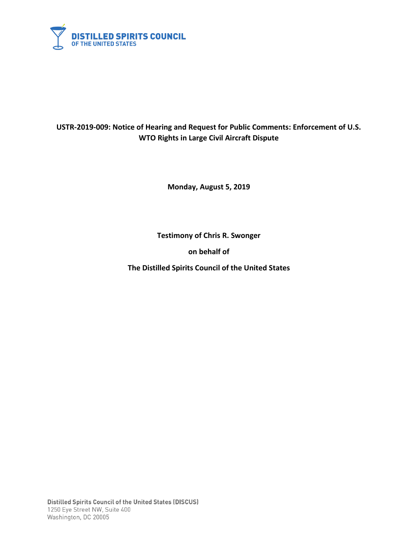

## **USTR-2019-009: Notice of Hearing and Request for Public Comments: Enforcement of U.S. WTO Rights in Large Civil Aircraft Dispute**

**Monday, August 5, 2019**

**Testimony of Chris R. Swonger** 

**on behalf of** 

**The Distilled Spirits Council of the United States**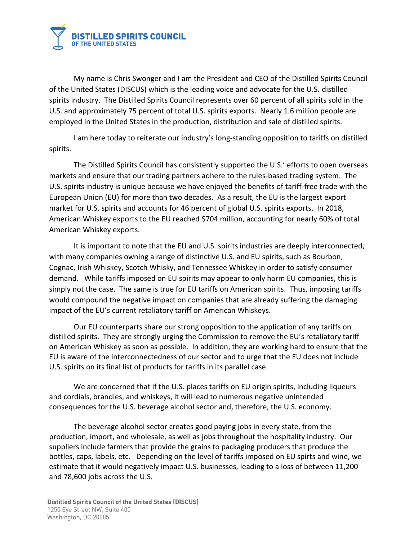

My name is Chris Swonger and I am the President and CEO of the Distilled Spirits Council of the United States (DISCUS) which is the leading voice and advocate for the U.S. distilled spirits industry. The Distilled Spirits Council represents over 60 percent of all spirits sold in the U.S. and approximately 75 percent of total U.S. spirits exports. Nearly 1.6 million people are employed in the United States in the production, distribution and sale of distilled spirits.

I am here today to reiterate our industry's long-standing opposition to tariffs on distilled spirits.

The Distilled Spirits Council has consistently supported the U.S.' efforts to open overseas markets and ensure that our trading partners adhere to the rules-based trading system. The U.S. spirits industry is unique because we have enjoyed the benefits of tariff-free trade with the European Union (EU) for more than two decades. As a result, the EU is the largest export market for U.S. spirits and accounts for 46 percent of global U.S. spirits exports. In 2018, American Whiskey exports to the EU reached \$704 million, accounting for nearly 60% of total American Whiskey exports.

It is important to note that the EU and U.S. spirits industries are deeply interconnected, with many companies owning a range of distinctive U.S. and EU spirits, such as Bourbon, Cognac, Irish Whiskey, Scotch Whisky, and Tennessee Whiskey in order to satisfy consumer demand. While tariffs imposed on EU spirits may appear to only harm EU companies, this is simply not the case. The same is true for EU tariffs on American spirits. Thus, imposing tariffs would compound the negative impact on companies that are already suffering the damaging impact of the EU's current retaliatory tariff on American Whiskeys.

Our EU counterparts share our strong opposition to the application of any tariffs on distilled spirits. They are strongly urging the Commission to remove the EU's retaliatory tariff on American Whiskey as soon as possible. In addition, they are working hard to ensure that the EU is aware of the interconnectedness of our sector and to urge that the EU does not include U.S. spirits on its final list of products for tariffs in its parallel case.

We are concerned that if the U.S. places tariffs on EU origin spirits, including liqueurs and cordials, brandies, and whiskeys, it will lead to numerous negative unintended consequences for the U.S. beverage alcohol sector and, therefore, the U.S. economy.

The beverage alcohol sector creates good paying jobs in every state, from the production, import, and wholesale, as well as jobs throughout the hospitality industry. Our suppliers include farmers that provide the grains to packaging producers that produce the bottles, caps, labels, etc. Depending on the level of tariffs imposed on EU spirts and wine, we estimate that it would negatively impact U.S. businesses, leading to a loss of between 11,200 and 78,600 jobs across the U.S.